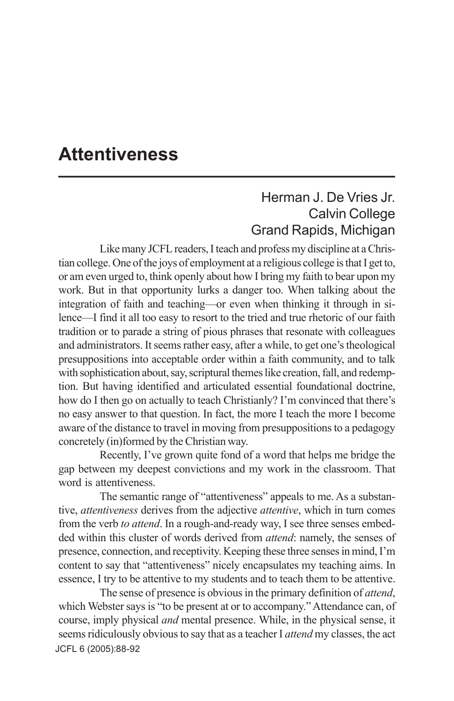## **Attentiveness \_\_\_\_\_\_\_\_\_\_\_\_\_\_\_\_\_\_\_\_\_\_\_\_\_\_\_\_\_\_\_\_\_**

## Herman J. De Vries Jr. Calvin College Grand Rapids, Michigan

Like many JCFL readers, I teach and profess my discipline at a Christian college. One of the joys of employment at a religious college is that I get to, or am even urged to, think openly about how I bring my faith to bear upon my work. But in that opportunity lurks a danger too. When talking about the integration of faith and teaching—or even when thinking it through in silence—I find it all too easy to resort to the tried and true rhetoric of our faith tradition or to parade a string of pious phrases that resonate with colleagues and administrators. It seems rather easy, after a while, to get one's theological presuppositions into acceptable order within a faith community, and to talk with sophistication about, say, scriptural themes like creation, fall, and redemption. But having identified and articulated essential foundational doctrine, how do I then go on actually to teach Christianly? I'm convinced that there's no easy answer to that question. In fact, the more I teach the more I become aware of the distance to travel in moving from presuppositions to a pedagogy concretely (in)formed by the Christian way.

Recently, I've grown quite fond of a word that helps me bridge the gap between my deepest convictions and my work in the classroom. That word is attentiveness.

The semantic range of "attentiveness" appeals to me. As a substantive, *attentiveness* derives from the adjective *attentive*, which in turn comes from the verb *to attend*. In a rough-and-ready way, I see three senses embedded within this cluster of words derived from *attend*: namely, the senses of presence, connection, and receptivity. Keeping these three senses in mind, I'm content to say that "attentiveness" nicely encapsulates my teaching aims. In essence, I try to be attentive to my students and to teach them to be attentive.

JCFL 6 (2005): 88-92The sense of presence is obvious in the primary definition of *attend*, which Webster says is "to be present at or to accompany." Attendance can, of course, imply physical *and* mental presence. While, in the physical sense, it seems ridiculously obvious to say that as a teacher I *attend* my classes, the act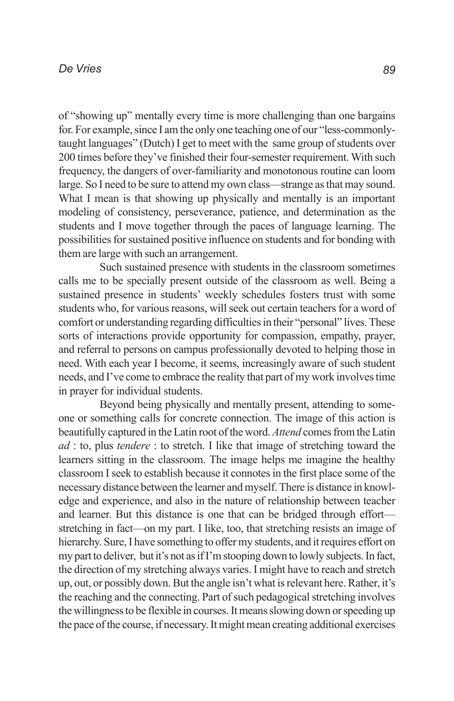of "showing up" mentally every time is more challenging than one bargains for. For example, since I am the only one teaching one of our "less-commonlytaught languages" (Dutch) I get to meet with the same group of students over 200 times before they've finished their four-semester requirement. With such frequency, the dangers of over-familiarity and monotonous routine can loom large. So I need to be sure to attend my own class—strange as that may sound. What I mean is that showing up physically and mentally is an important modeling of consistency, perseverance, patience, and determination as the students and I move together through the paces of language learning. The possibilities for sustained positive influence on students and for bonding with them are large with such an arrangement.

Such sustained presence with students in the classroom sometimes calls me to be specially present outside of the classroom as well. Being a sustained presence in students' weekly schedules fosters trust with some students who, for various reasons, will seek out certain teachers for a word of comfort or understanding regarding difficulties in their "personal" lives. These sorts of interactions provide opportunity for compassion, empathy, prayer, and referral to persons on campus professionally devoted to helping those in need. With each year I become, it seems, increasingly aware of such student needs, and I've come to embrace the reality that part of my work involves time in prayer for individual students.

Beyond being physically and mentally present, attending to someone or something calls for concrete connection. The image of this action is beautifully captured in the Latin root of the word. *Attend* comes from the Latin *ad* : to, plus *tendere* : to stretch. I like that image of stretching toward the learners sitting in the classroom. The image helps me imagine the healthy classroom I seek to establish because it connotes in the first place some of the necessary distance between the learner and myself. There is distance in knowledge and experience, and also in the nature of relationship between teacher and learner. But this distance is one that can be bridged through effort stretching in fact—on my part. I like, too, that stretching resists an image of hierarchy. Sure, I have something to offer my students, and it requires effort on my part to deliver, but it's not as if I'm stooping down to lowly subjects. In fact, the direction of my stretching always varies. I might have to reach and stretch up, out, or possibly down. But the angle isn't what is relevant here. Rather, it's the reaching and the connecting. Part of such pedagogical stretching involves the willingness to be flexible in courses. It means slowing down or speeding up the pace of the course, if necessary. It might mean creating additional exercises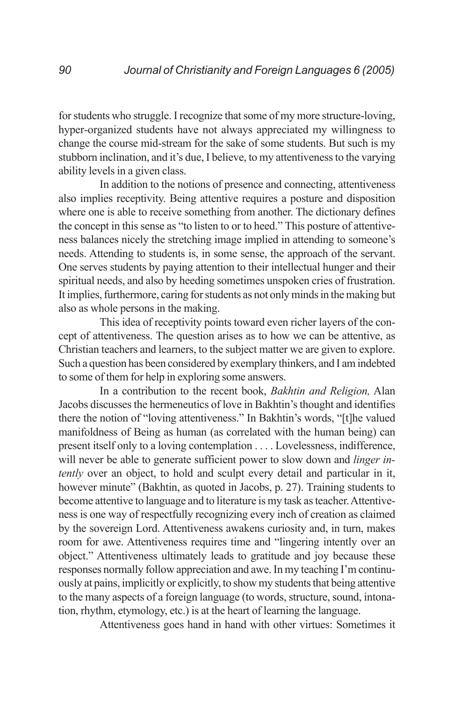for students who struggle. I recognize that some of my more structure-loving, hyper-organized students have not always appreciated my willingness to change the course mid-stream for the sake of some students. But such is my stubborn inclination, and it's due, I believe, to my attentiveness to the varying ability levels in a given class.

In addition to the notions of presence and connecting, attentiveness also implies receptivity. Being attentive requires a posture and disposition where one is able to receive something from another. The dictionary defines the concept in this sense as "to listen to or to heed." This posture of attentiveness balances nicely the stretching image implied in attending to someone's needs. Attending to students is, in some sense, the approach of the servant. One serves students by paying attention to their intellectual hunger and their spiritual needs, and also by heeding sometimes unspoken cries of frustration. It implies, furthermore, caring for students as not only minds in the making but also as whole persons in the making.

This idea of receptivity points toward even richer layers of the concept of attentiveness. The question arises as to how we can be attentive, as Christian teachers and learners, to the subject matter we are given to explore. Such a question has been considered by exemplary thinkers, and I am indebted to some of them for help in exploring some answers.

In a contribution to the recent book, *Bakhtin and Religion,* Alan Jacobs discusses the hermeneutics of love in Bakhtin's thought and identifies there the notion of "loving attentiveness." In Bakhtin's words, "[t]he valued manifoldness of Being as human (as correlated with the human being) can present itself only to a loving contemplation . . . . Lovelessness, indifference, will never be able to generate sufficient power to slow down and *linger intently* over an object, to hold and sculpt every detail and particular in it, however minute" (Bakhtin, as quoted in Jacobs, p. 27). Training students to become attentive to language and to literature is my task as teacher. Attentiveness is one way of respectfully recognizing every inch of creation as claimed by the sovereign Lord. Attentiveness awakens curiosity and, in turn, makes room for awe. Attentiveness requires time and "lingering intently over an object." Attentiveness ultimately leads to gratitude and joy because these responses normally follow appreciation and awe. In my teaching I'm continuously at pains, implicitly or explicitly, to show my students that being attentive to the many aspects of a foreign language (to words, structure, sound, intonation, rhythm, etymology, etc.) is at the heart of learning the language.

Attentiveness goes hand in hand with other virtues: Sometimes it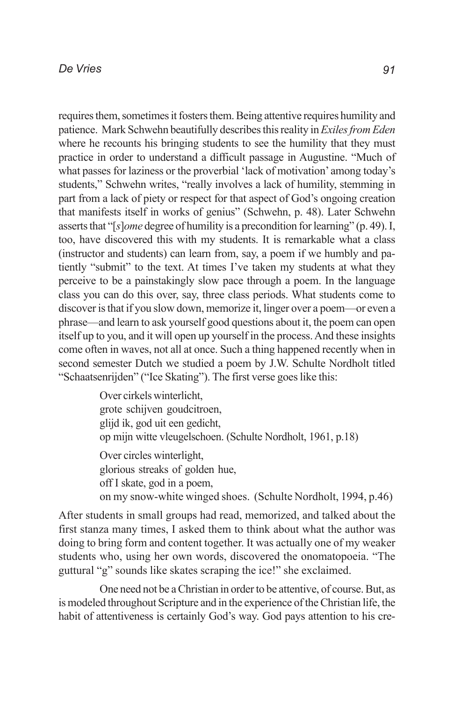requires them, sometimes it fosters them. Being attentive requires humility and patience. Mark Schwehn beautifully describes this reality in *Exiles from Eden* where he recounts his bringing students to see the humility that they must practice in order to understand a difficult passage in Augustine. "Much of what passes for laziness or the proverbial 'lack of motivation' among today's students," Schwehn writes, "really involves a lack of humility, stemming in part from a lack of piety or respect for that aspect of God's ongoing creation that manifests itself in works of genius" (Schwehn, p. 48). Later Schwehn asserts that "[*s*]*ome* degree of humility is a precondition for learning" (p. 49). I, too, have discovered this with my students. It is remarkable what a class (instructor and students) can learn from, say, a poem if we humbly and patiently "submit" to the text. At times I've taken my students at what they perceive to be a painstakingly slow pace through a poem. In the language class you can do this over, say, three class periods. What students come to discover is that if you slow down, memorize it, linger over a poem—or even a phrase—and learn to ask yourself good questions about it, the poem can open itself up to you, and it will open up yourself in the process. And these insights come often in waves, not all at once. Such a thing happened recently when in second semester Dutch we studied a poem by J.W. Schulte Nordholt titled "Schaatsenrijden" ("Ice Skating"). The first verse goes like this:

> Over cirkels winterlicht, grote schijven goudcitroen, glijd ik, god uit een gedicht, op mijn witte vleugelschoen. (Schulte Nordholt, 1961, p.18) Over circles winterlight, glorious streaks of golden hue, off I skate, god in a poem, on my snow-white winged shoes. (Schulte Nordholt, 1994, p.46)

After students in small groups had read, memorized, and talked about the first stanza many times, I asked them to think about what the author was doing to bring form and content together. It was actually one of my weaker students who, using her own words, discovered the onomatopoeia. "The guttural "g" sounds like skates scraping the ice!" she exclaimed.

One need not be a Christian in order to be attentive, of course. But, as is modeled throughout Scripture and in the experience of the Christian life, the habit of attentiveness is certainly God's way. God pays attention to his cre